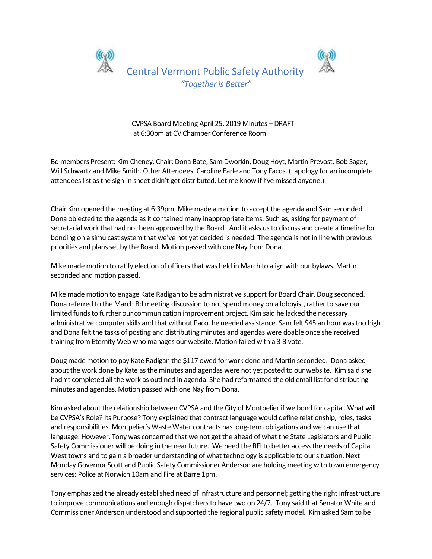



 CVPSA Board Meeting April 25, 2019 Minutes – DRAFT at 6:30pm at CV Chamber Conference Room

Bd members Present: Kim Cheney, Chair; Dona Bate, Sam Dworkin, Doug Hoyt, Martin Prevost, Bob Sager, Will Schwartz and Mike Smith. Other Attendees: Caroline Earle and Tony Facos. (I apology for an incomplete attendees list as the sign-in sheet didn't get distributed. Let me know if I've missed anyone.)

Chair Kim opened the meeting at 6:39pm. Mike made a motion to accept the agenda and Sam seconded. Dona objected to the agenda as it contained many inappropriate items. Such as, asking for payment of secretarial work that had not been approved by the Board. And it asks us to discuss and create a timeline for bonding on a simulcast system that we've not yet decided is needed. The agenda is not in line with previous priorities and plans set by the Board. Motion passed with one Nay from Dona.

Mike made motion to ratify election of officers that was held in March to align with our bylaws. Martin seconded and motion passed.

Mike made motion to engage Kate Radigan to be administrative support for Board Chair, Doug seconded. Dona referred to the March Bd meeting discussion to not spend money on a lobbyist, rather to save our limited funds to further our communication improvement project. Kim said he lacked the necessary administrative computer skills and that without Paco, he needed assistance. Sam felt \$45 an hour was too high and Dona felt the tasks of posting and distributing minutes and agendas were doable once she received training from Eternity Web who manages our website. Motion failed with a 3-3 vote.

Doug made motion to pay Kate Radigan the \$117 owed for work done and Martin seconded. Dona asked about the work done by Kate as the minutes and agendas were not yet posted to our website. Kim said she hadn't completed all the work as outlined in agenda. She had reformatted the old email list for distributing minutes and agendas. Motion passed with one Nay from Dona.

Kim asked about the relationship between CVPSA and the City of Montpelier if we bond for capital. What will be CVPSA's Role? Its Purpose? Tony explained that contract language would define relationship, roles, tasks and responsibilities. Montpelier's Waste Water contracts has long-term obligations and we can use that language. However, Tony was concerned that we not get the ahead of what the State Legislators and Public Safety Commissioner will be doing in the near future. We need the RFI to better access the needs of Capital West towns and to gain a broader understanding of what technology is applicable to our situation. Next Monday Governor Scott and Public Safety Commissioner Anderson are holding meeting with town emergency services: Police at Norwich 10am and Fire at Barre 1pm.

Tony emphasized the already established need of Infrastructure and personnel; getting the right infrastructure to improve communications and enough dispatchers to have two on 24/7. Tony said that Senator White and Commissioner Anderson understood and supported the regional public safety model. Kim asked Sam to be